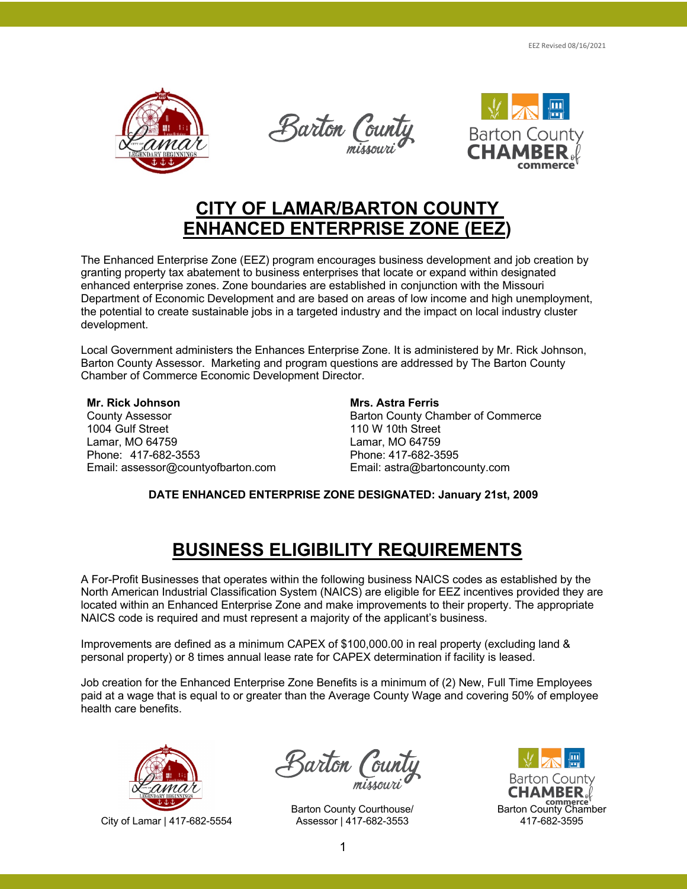

Barton Cou



### **CITY OF LAMAR/BARTON COUNTY ENHANCED ENTERPRISE ZONE (EEZ)**

The Enhanced Enterprise Zone (EEZ) program encourages business development and job creation by granting property tax abatement to business enterprises that locate or expand within designated enhanced enterprise zones. Zone boundaries are established in conjunction with the Missouri Department of Economic Development and are based on areas of low income and high unemployment, the potential to create sustainable jobs in a targeted industry and the impact on local industry cluster development.

Local Government administers the Enhances Enterprise Zone. It is administered by Mr. Rick Johnson, Barton County Assessor. Marketing and program questions are addressed by The Barton County Chamber of Commerce Economic Development Director.

**Mr. Rick Johnson** County Assessor 1004 Gulf Street Lamar, MO 64759 Phone: 417-682-3553 Email: assessor@countyofbarton.com

#### **Mrs. Astra Ferris**

Barton County Chamber of Commerce 110 W 10th Street Lamar, MO 64759 Phone: 417-682-3595 Email: astra@bartoncounty.com

**DATE ENHANCED ENTERPRISE ZONE DESIGNATED: January 21st, 2009**

## **BUSINESS ELIGIBILITY REQUIREMENTS**

A For-Profit Businesses that operates within the following business NAICS codes as established by the North American Industrial Classification System (NAICS) are eligible for EEZ incentives provided they are located within an Enhanced Enterprise Zone and make improvements to their property. The appropriate NAICS code is required and must represent a majority of the applicant's business.

Improvements are defined as a minimum CAPEX of \$100,000.00 in real property (excluding land & personal property) or 8 times annual lease rate for CAPEX determination if facility is leased.

Job creation for the Enhanced Enterprise Zone Benefits is a minimum of (2) New, Full Time Employees paid at a wage that is equal to or greater than the Average County Wage and covering 50% of employee health care benefits.



City of Lamar | 417-682-5554

Barton (oi

Barton County Courthouse/ Assessor | 417-682-3553

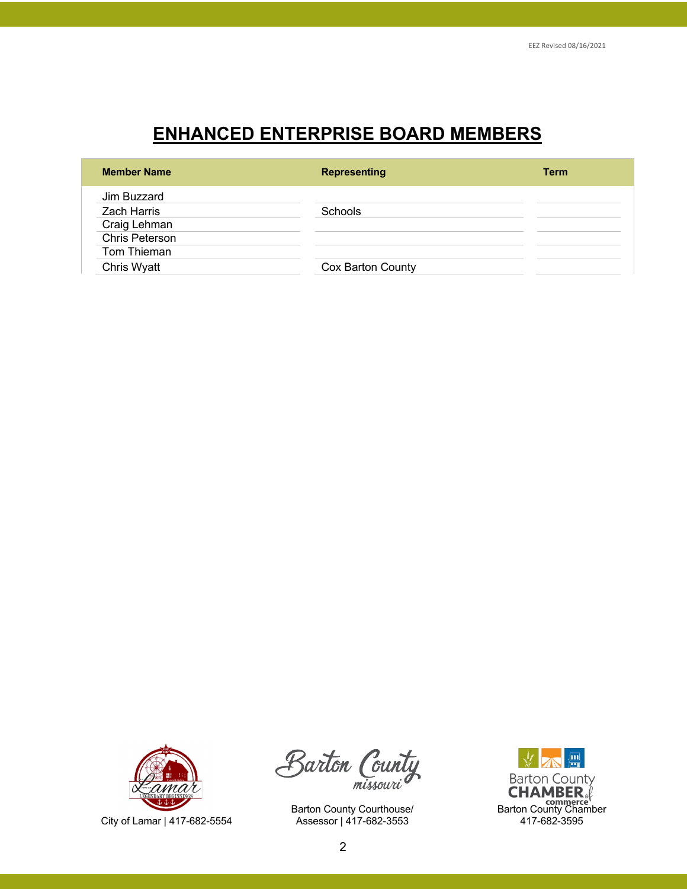# **ENHANCED ENTERPRISE BOARD MEMBERS**

| <b>Member Name</b> | <b>Representing</b> | <b>Term</b> |
|--------------------|---------------------|-------------|
| Jim Buzzard        |                     |             |
| <b>Zach Harris</b> | <b>Schools</b>      |             |
| Craig Lehman       |                     |             |
| Chris Peterson     |                     |             |
| Tom Thieman        |                     |             |
| Chris Wyatt        | Cox Barton County   |             |



Barton Count missouri

Barton County Courthouse/ Assessor | 417-682-3553

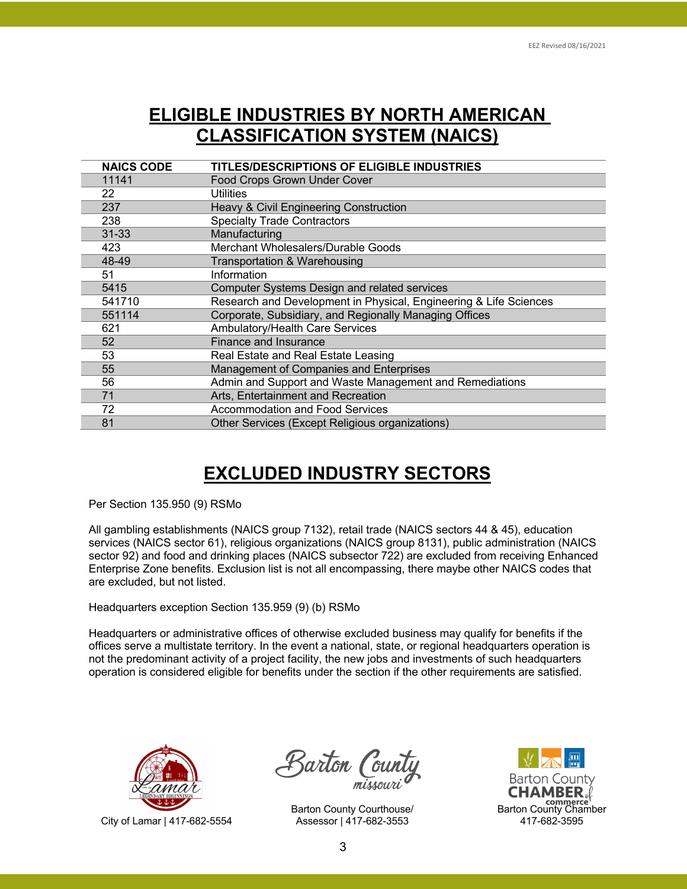### **ELIGIBLE INDUSTRIES BY NORTH AMERICAN CLASSIFICATION SYSTEM (NAICS)**

| <b>NAICS CODE</b> | <b>TITLES/DESCRIPTIONS OF ELIGIBLE INDUSTRIES</b>                 |
|-------------------|-------------------------------------------------------------------|
| 11141             | Food Crops Grown Under Cover                                      |
| 22                | <b>Utilities</b>                                                  |
| 237               | Heavy & Civil Engineering Construction                            |
| 238               | <b>Specialty Trade Contractors</b>                                |
| $31 - 33$         | Manufacturing                                                     |
| 423               | Merchant Wholesalers/Durable Goods                                |
| 48-49             | Transportation & Warehousing                                      |
| 51                | Information                                                       |
| 5415              | <b>Computer Systems Design and related services</b>               |
| 541710            | Research and Development in Physical, Engineering & Life Sciences |
| 551114            | Corporate, Subsidiary, and Regionally Managing Offices            |
| 621               | Ambulatory/Health Care Services                                   |
| 52                | Finance and Insurance                                             |
| 53                | Real Estate and Real Estate Leasing                               |
| 55                | Management of Companies and Enterprises                           |
| 56                | Admin and Support and Waste Management and Remediations           |
| 71                | Arts, Entertainment and Recreation                                |
| 72                | <b>Accommodation and Food Services</b>                            |
| 81                | Other Services (Except Religious organizations)                   |

## **EXCLUDED INDUSTRY SECTORS**

Per Section 135.950 (9) RSMo

All gambling establishments (NAICS group 7132), retail trade (NAICS sectors 44 & 45), education services (NAICS sector 61), religious organizations (NAICS group 8131), public administration (NAICS sector 92) and food and drinking places (NAICS subsector 722) are excluded from receiving Enhanced Enterprise Zone benefits. Exclusion list is not all encompassing, there maybe other NAICS codes that are excluded, but not listed.

Headquarters exception Section 135.959 (9) (b) RSMo

Headquarters or administrative offices of otherwise excluded business may qualify for benefits if the offices serve a multistate territory. In the event a national, state, or regional headquarters operation is not the predominant activity of a project facility, the new jobs and investments of such headquarters operation is considered eligible for benefits under the section if the other requirements are satisfied.



City of Lamar | 417-682-5554

Barton Coun

Barton County Courthouse/ Assessor | 417-682-3553

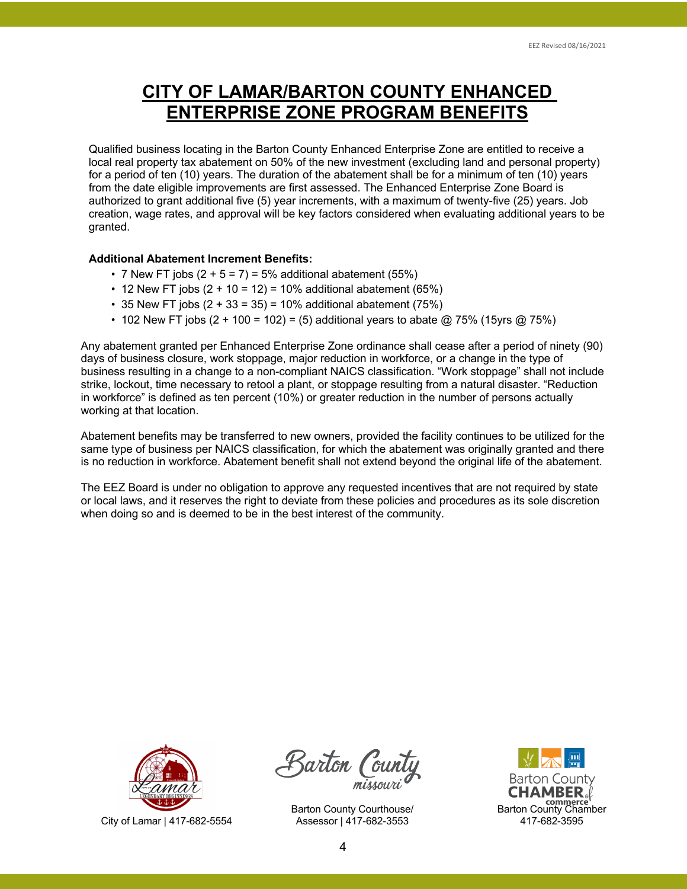## **CITY OF LAMAR/BARTON COUNTY ENHANCED ENTERPRISE ZONE PROGRAM BENEFITS**

Qualified business locating in the Barton County Enhanced Enterprise Zone are entitled to receive a local real property tax abatement on 50% of the new investment (excluding land and personal property) for a period of ten (10) years. The duration of the abatement shall be for a minimum of ten (10) years from the date eligible improvements are first assessed. The Enhanced Enterprise Zone Board is authorized to grant additional five (5) year increments, with a maximum of twenty-five (25) years. Job creation, wage rates, and approval will be key factors considered when evaluating additional years to be granted.

#### **Additional Abatement Increment Benefits:**

- 7 New FT jobs  $(2 + 5 = 7) = 5%$  additional abatement  $(55%)$
- 12 New FT jobs  $(2 + 10 = 12) = 10\%$  additional abatement (65%)
- 35 New FT jobs  $(2 + 33 = 35) = 10\%$  additional abatement  $(75\%)$
- 102 New FT jobs  $(2 + 100) = 102$  = (5) additional years to abate  $@$  75% (15yrs  $@$  75%)

Any abatement granted per Enhanced Enterprise Zone ordinance shall cease after a period of ninety (90) days of business closure, work stoppage, major reduction in workforce, or a change in the type of business resulting in a change to a non-compliant NAICS classification. "Work stoppage" shall not include strike, lockout, time necessary to retool a plant, or stoppage resulting from a natural disaster. "Reduction in workforce" is defined as ten percent (10%) or greater reduction in the number of persons actually working at that location.

Abatement benefits may be transferred to new owners, provided the facility continues to be utilized for the same type of business per NAICS classification, for which the abatement was originally granted and there is no reduction in workforce. Abatement benefit shall not extend beyond the original life of the abatement.

The EEZ Board is under no obligation to approve any requested incentives that are not required by state or local laws, and it reserves the right to deviate from these policies and procedures as its sole discretion when doing so and is deemed to be in the best interest of the community.



City of Lamar | 417-682-5554

Barton Coi

Barton County Courthouse/ Assessor | 417-682-3553